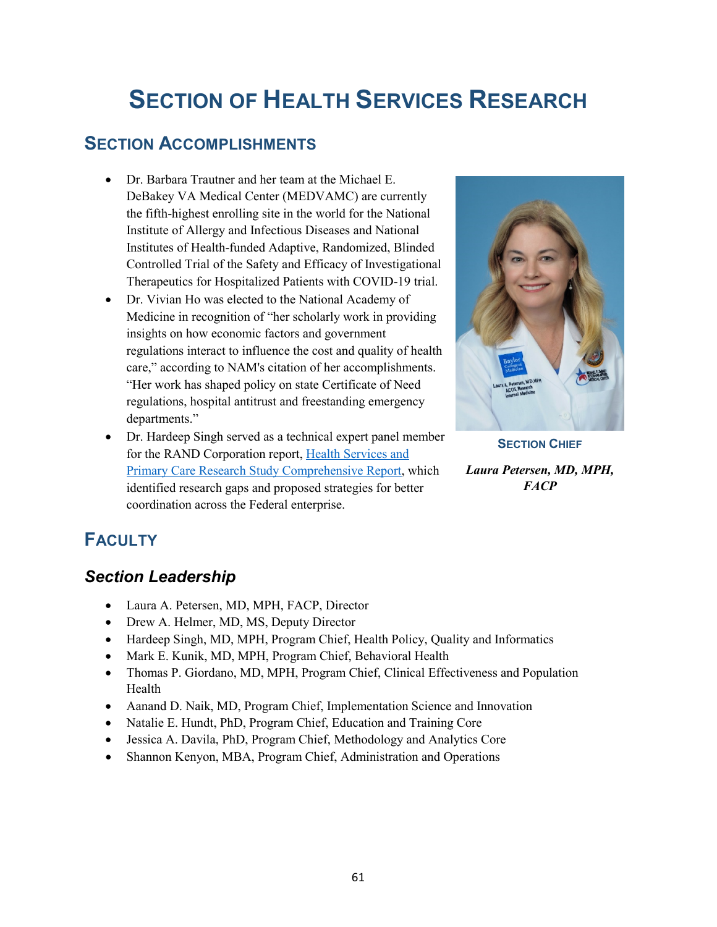# **SECTION OF HEALTH SERVICES RESEARCH**

# **SECTION ACCOMPLISHMENTS**

- Dr. Barbara Trautner and her team at the Michael E. DeBakey VA Medical Center (MEDVAMC) are currently the fifth-highest enrolling site in the world for the National Institute of Allergy and Infectious Diseases and National Institutes of Health-funded Adaptive, Randomized, Blinded Controlled Trial of the Safety and Efficacy of Investigational Therapeutics for Hospitalized Patients with COVID-19 trial.
- Dr. [Vivian Ho](https://www.bcm.edu/people-search/vivian-ho-23271) was elected to the National Academy of Medicine in recognition of "her scholarly work in providing insights on how economic factors and government regulations interact to influence the cost and quality of health care," according to NAM's citation of her accomplishments. "Her work has shaped policy on state Certificate of Need regulations, hospital antitrust and freestanding emergency departments."
- Dr. [Hardeep Singh s](https://www.bcm.edu/people-search/hardeep-singh-30838)erved as a technical expert panel member for the RAND Corporation report, [Health Services and](https://www.ahrq.gov/sites/default/files/wysiwyg/healthsystemsresearch/healthsystemsresearch.pdf)  [Primary Care Research Study Comprehensive Report,](https://www.ahrq.gov/sites/default/files/wysiwyg/healthsystemsresearch/healthsystemsresearch.pdf) which identified research gaps and proposed strategies for better coordination across the Federal enterprise.



**SECTION CHIEF** *Laura Petersen, MD, MPH, FACP*

# **FACULTY**

# *Section Leadership*

- Laura A. Petersen, MD, MPH, FACP, Director
- Drew A. Helmer, MD, MS, Deputy Director
- Hardeep Singh, MD, MPH, Program Chief, Health Policy, Quality and Informatics
- Mark E. Kunik, MD, MPH, Program Chief, Behavioral Health
- Thomas P. Giordano, MD, MPH, Program Chief, Clinical Effectiveness and Population Health
- Aanand D. Naik, MD, Program Chief, Implementation Science and Innovation
- Natalie E. Hundt, PhD, Program Chief, Education and Training Core
- Jessica A. Davila, PhD, Program Chief, Methodology and Analytics Core
- Shannon Kenyon, MBA, Program Chief, Administration and Operations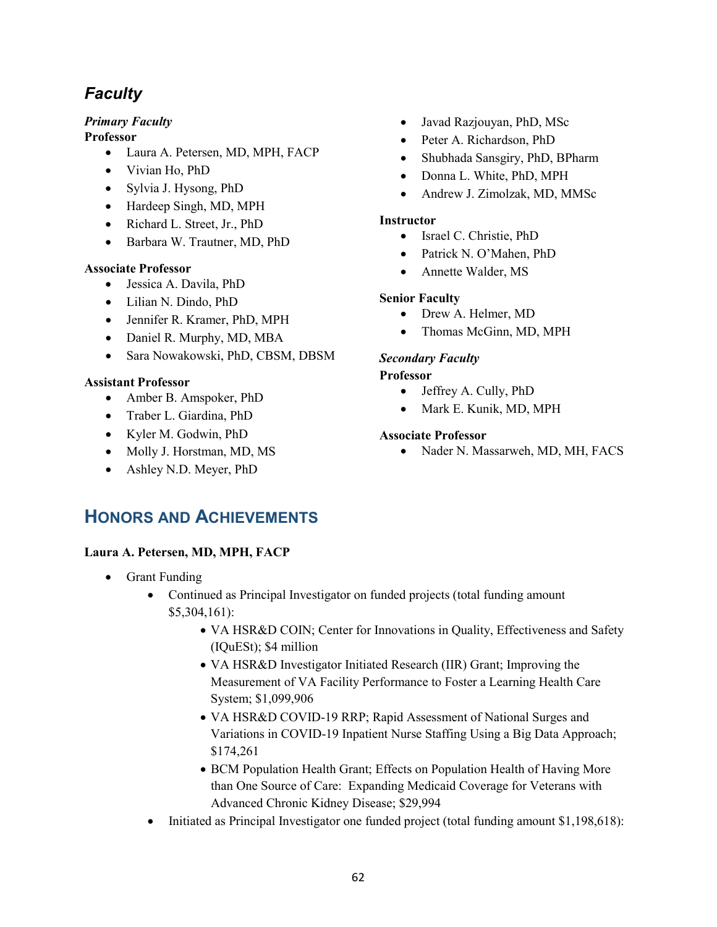# *Faculty*

# *Primary Faculty*

**Professor**

- Laura A. Petersen, MD, MPH, FACP
- Vivian Ho, PhD
- Sylvia J. Hysong, PhD
- Hardeep Singh, MD, MPH
- Richard L. Street, Jr., PhD
- Barbara W. Trautner, MD, PhD

### **Associate Professor**

- Jessica A. Davila, PhD
- Lilian N. Dindo, PhD
- Jennifer R. Kramer, PhD, MPH
- Daniel R. Murphy, MD, MBA
- Sara Nowakowski, PhD, CBSM, DBSM

# **Assistant Professor**

- Amber B. Amspoker, PhD
- Traber L. Giardina, PhD
- Kyler M. Godwin, PhD
- Molly J. Horstman, MD, MS
- Ashley N.D. Meyer, PhD
- Javad Razjouyan, PhD, MSc
- Peter A. Richardson, PhD
- Shubhada Sansgiry, PhD, BPharm
- Donna L. White, PhD, MPH
- Andrew J. Zimolzak, MD, MMSc

### **Instructor**

- Israel C. Christie, PhD
- Patrick N. O'Mahen, PhD
- Annette Walder, MS

### **Senior Faculty**

- Drew A. Helmer, MD
- Thomas McGinn, MD, MPH

# *Secondary Faculty*

### **Professor**

- Jeffrey A. Cully, PhD
- Mark E. Kunik, MD, MPH

### **Associate Professor**

• Nader N. Massarweh, MD, MH, FACS

# **HONORS AND ACHIEVEMENTS**

#### **Laura A. Petersen, MD, MPH, FACP**

- Grant Funding
	- Continued as Principal Investigator on funded projects (total funding amount \$5,304,161):
		- VA HSR&D COIN; Center for Innovations in Quality, Effectiveness and Safety (IQuESt); \$4 million
		- VA HSR&D Investigator Initiated Research (IIR) Grant; Improving the Measurement of VA Facility Performance to Foster a Learning Health Care System; \$1,099,906
		- VA HSR&D COVID-19 RRP; Rapid Assessment of National Surges and Variations in COVID-19 Inpatient Nurse Staffing Using a Big Data Approach; \$174,261
		- BCM Population Health Grant; Effects on Population Health of Having More than One Source of Care: Expanding Medicaid Coverage for Veterans with Advanced Chronic Kidney Disease; \$29,994
	- Initiated as Principal Investigator one funded project (total funding amount \$1,198,618):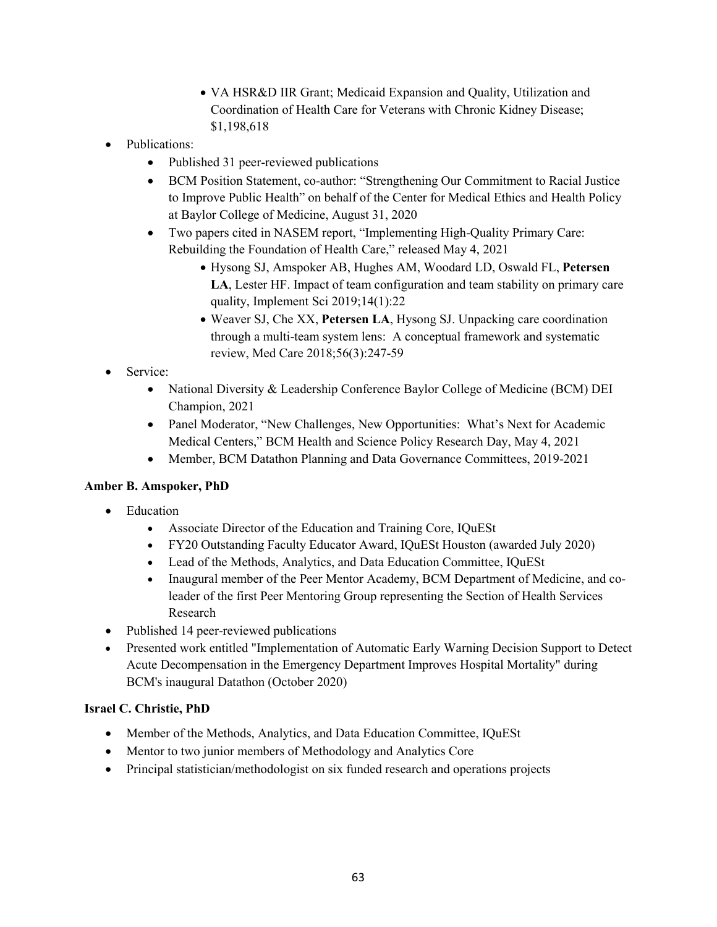- VA HSR&D IIR Grant; Medicaid Expansion and Quality, Utilization and Coordination of Health Care for Veterans with Chronic Kidney Disease; \$1,198,618
- Publications:
	- Published 31 peer-reviewed publications
	- BCM Position Statement, co-author: "Strengthening Our Commitment to Racial Justice to Improve Public Health" on behalf of the Center for Medical Ethics and Health Policy at Baylor College of Medicine, August 31, 2020
	- Two papers cited in NASEM report, "Implementing High-Quality Primary Care: Rebuilding the Foundation of Health Care," released May 4, 2021
		- Hysong SJ, Amspoker AB, Hughes AM, Woodard LD, Oswald FL, **Petersen LA**, Lester HF. Impact of team configuration and team stability on primary care quality, Implement Sci 2019;14(1):22
		- Weaver SJ, Che XX, **Petersen LA**, Hysong SJ. Unpacking care coordination through a multi-team system lens: A conceptual framework and systematic review, Med Care 2018;56(3):247-59
- Service:
	- National Diversity & Leadership Conference Baylor College of Medicine (BCM) DEI Champion, 2021
	- Panel Moderator, "New Challenges, New Opportunities: What's Next for Academic Medical Centers," BCM Health and Science Policy Research Day, May 4, 2021
	- Member, BCM Datathon Planning and Data Governance Committees, 2019-2021

# **Amber B. Amspoker, PhD**

- **Education** 
	- Associate Director of the Education and Training Core, IQuESt
	- FY20 Outstanding Faculty Educator Award, IQuESt Houston (awarded July 2020)
	- Lead of the Methods, Analytics, and Data Education Committee, IQuESt
	- Inaugural member of the Peer Mentor Academy, BCM Department of Medicine, and coleader of the first Peer Mentoring Group representing the Section of Health Services Research
- Published 14 peer-reviewed publications
- Presented work entitled "Implementation of Automatic Early Warning Decision Support to Detect Acute Decompensation in the Emergency Department Improves Hospital Mortality" during BCM's inaugural Datathon (October 2020)

#### **Israel C. Christie, PhD**

- Member of the Methods, Analytics, and Data Education Committee, IQuESt
- Mentor to two junior members of Methodology and Analytics Core
- Principal statistician/methodologist on six funded research and operations projects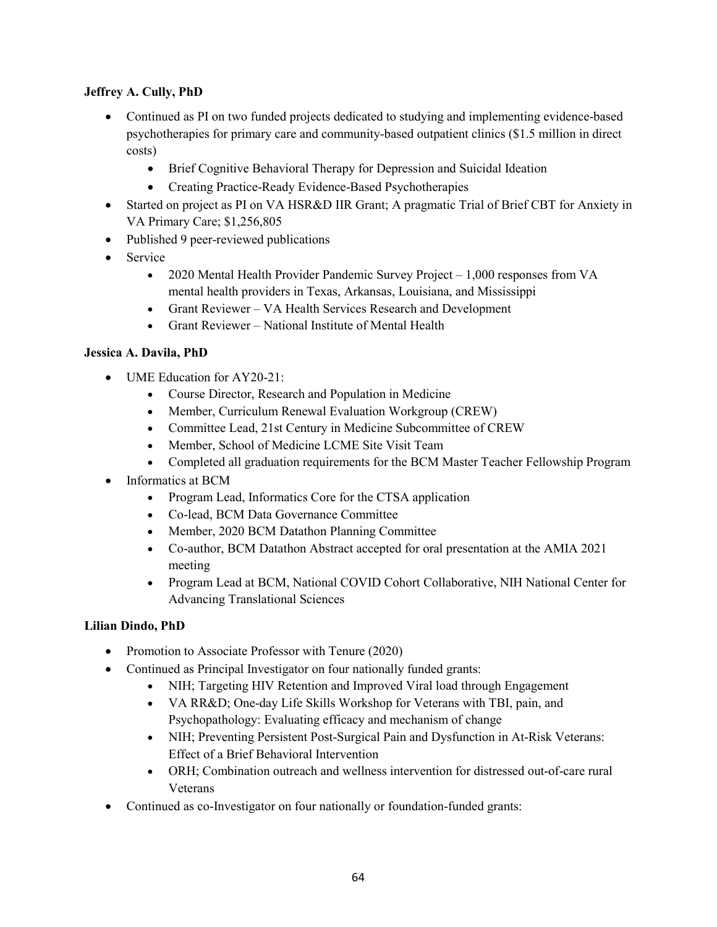### **Jeffrey A. Cully, PhD**

- Continued as PI on two funded projects dedicated to studying and implementing evidence-based psychotherapies for primary care and community-based outpatient clinics (\$1.5 million in direct costs)
	- Brief Cognitive Behavioral Therapy for Depression and Suicidal Ideation
	- Creating Practice-Ready Evidence-Based Psychotherapies
- Started on project as PI on VA HSR&D IIR Grant; A pragmatic Trial of Brief CBT for Anxiety in VA Primary Care; \$1,256,805
- Published 9 peer-reviewed publications
- Service
	- 2020 Mental Health Provider Pandemic Survey Project 1,000 responses from VA mental health providers in Texas, Arkansas, Louisiana, and Mississippi
	- Grant Reviewer VA Health Services Research and Development
	- Grant Reviewer National Institute of Mental Health

# **[Jessica A. Davila, PhD](https://www.bcm.edu/people-search/jessica-davila-20246)**

- UME Education for AY20-21:
	- Course Director, Research and Population in Medicine
	- Member, Curriculum Renewal Evaluation Workgroup (CREW)
	- Committee Lead, 21st Century in Medicine Subcommittee of CREW
	- Member, School of Medicine LCME Site Visit Team
	- Completed all graduation requirements for the BCM Master Teacher Fellowship Program
- Informatics at BCM
	- Program Lead, Informatics Core for the CTSA application
	- Co-lead, BCM Data Governance Committee
	- Member, 2020 BCM Datathon Planning Committee
	- Co-author, BCM Datathon Abstract accepted for oral presentation at the AMIA 2021 meeting
	- Program Lead at BCM, National COVID Cohort Collaborative, NIH National Center for Advancing Translational Sciences

# **[Lilian Dindo, PhD](https://www.bcm.edu/people-search/lilian-dindo-20557)**

- Promotion to Associate Professor with Tenure (2020)
- Continued as Principal Investigator on four nationally funded grants:
	- NIH; Targeting HIV Retention and Improved Viral load through Engagement
	- VA RR&D; One-day Life Skills Workshop for Veterans with TBI, pain, and Psychopathology: Evaluating efficacy and mechanism of change
	- NIH; Preventing Persistent Post-Surgical Pain and Dysfunction in At-Risk Veterans: Effect of a Brief Behavioral Intervention
	- ORH; Combination outreach and wellness intervention for distressed out-of-care rural Veterans
- Continued as co-Investigator on four nationally or foundation-funded grants: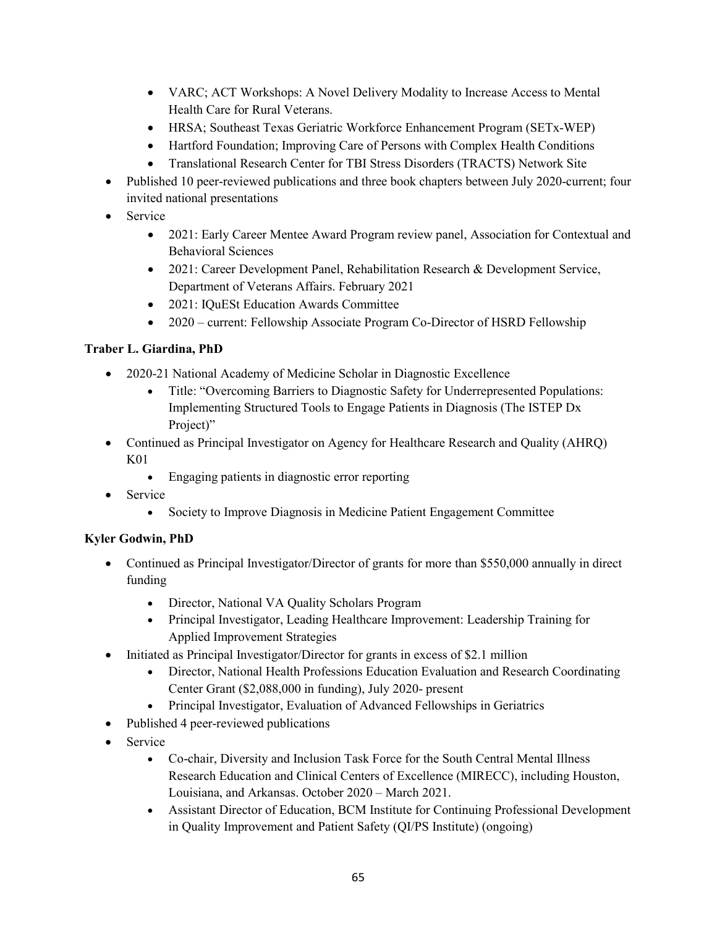- VARC; ACT Workshops: A Novel Delivery Modality to Increase Access to Mental Health Care for Rural Veterans.
- HRSA; Southeast Texas Geriatric Workforce Enhancement Program (SETx-WEP)
- Hartford Foundation; Improving Care of Persons with Complex Health Conditions
- Translational Research Center for TBI Stress Disorders (TRACTS) Network Site
- Published 10 peer-reviewed publications and three book chapters between July 2020-current; four invited national presentations
- Service
	- 2021: Early Career Mentee Award Program review panel, Association for Contextual and Behavioral Sciences
	- 2021: Career Development Panel, Rehabilitation Research & Development Service, Department of Veterans Affairs. February 2021
	- 2021: IOuESt Education Awards Committee
	- 2020 current: Fellowship Associate Program Co-Director of HSRD Fellowship

# **Traber L. Giardina, PhD**

- 2020-21 National Academy of Medicine Scholar in Diagnostic Excellence
	- Title: "Overcoming Barriers to Diagnostic Safety for Underrepresented Populations: Implementing Structured Tools to Engage Patients in Diagnosis (The ISTEP Dx Project)"
- Continued as Principal Investigator on Agency for Healthcare Research and Quality (AHRQ) K01
	- Engaging patients in diagnostic error reporting
- Service
	- Society to Improve Diagnosis in Medicine Patient Engagement Committee

# **[Kyler Godwin, PhD](https://www.bcm.edu/people-search/kyler-godwin-21964)**

- Continued as Principal Investigator/Director of grants for more than \$550,000 annually in direct funding
	- Director, National VA Quality Scholars Program
	- Principal Investigator, Leading Healthcare Improvement: Leadership Training for Applied Improvement Strategies
- Initiated as Principal Investigator/Director for grants in excess of \$2.1 million
	- Director, National Health Professions Education Evaluation and Research Coordinating Center Grant (\$2,088,000 in funding), July 2020- present
	- Principal Investigator, Evaluation of Advanced Fellowships in Geriatrics
- Published 4 peer-reviewed publications
- Service
	- Co-chair, Diversity and Inclusion Task Force for the South Central Mental Illness Research Education and Clinical Centers of Excellence (MIRECC), including Houston, Louisiana, and Arkansas. October 2020 – March 2021.
	- Assistant Director of Education, BCM Institute for Continuing Professional Development in Quality Improvement and Patient Safety (QI/PS Institute) (ongoing)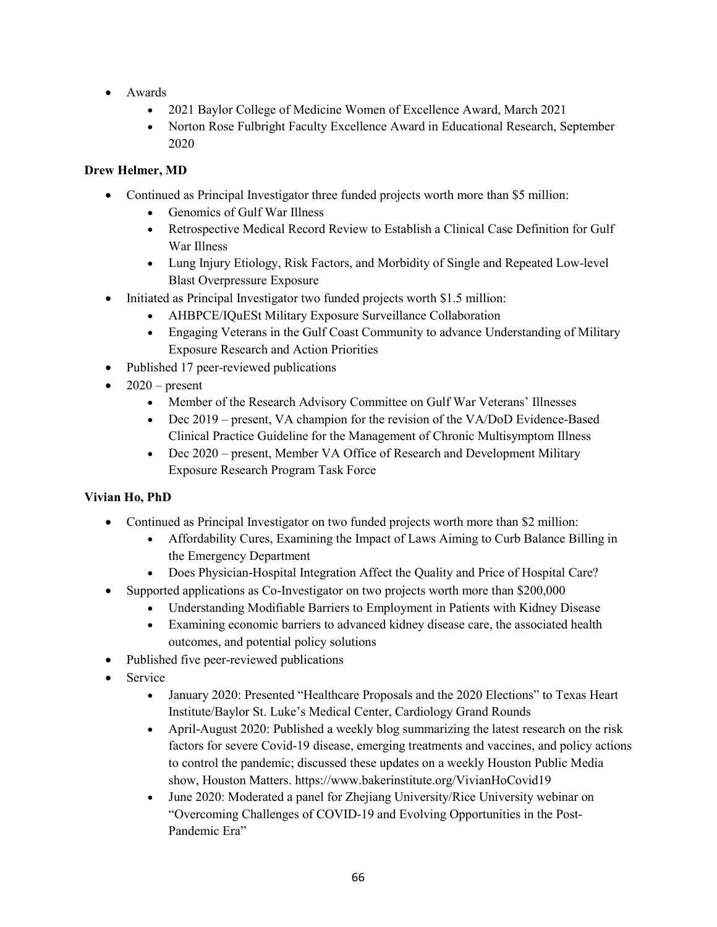- Awards
	- 2021 Baylor College of Medicine Women of Excellence Award, March 2021
	- Norton Rose Fulbright Faculty Excellence Award in Educational Research, September 2020

# **[Drew Helmer, MD](https://www.bcm.edu/people-search/drew-helmer-35391)**

- Continued as Principal Investigator three funded projects worth more than \$5 million:
	- Genomics of Gulf War Illness
	- Retrospective Medical Record Review to Establish a Clinical Case Definition for Gulf War Illness
	- Lung Injury Etiology, Risk Factors, and Morbidity of Single and Repeated Low-level Blast Overpressure Exposure
- Initiated as Principal Investigator two funded projects worth \$1.5 million:
	- AHBPCE/IQuESt Military Exposure Surveillance Collaboration
	- Engaging Veterans in the Gulf Coast Community to advance Understanding of Military Exposure Research and Action Priorities
- Published 17 peer-reviewed publications
- $2020$  present
	- Member of the Research Advisory Committee on Gulf War Veterans' Illnesses
	- Dec 2019 present, VA champion for the revision of the VA/DoD Evidence-Based Clinical Practice Guideline for the Management of Chronic Multisymptom Illness
	- Dec 2020 present, Member VA Office of Research and Development Military Exposure Research Program Task Force

#### **Vivian Ho, PhD**

- Continued as Principal Investigator on two funded projects worth more than \$2 million:
	- Affordability Cures, Examining the Impact of Laws Aiming to Curb Balance Billing in the Emergency Department
	- Does Physician-Hospital Integration Affect the Quality and Price of Hospital Care?
- Supported applications as Co-Investigator on two projects worth more than \$200,000
	- Understanding Modifiable Barriers to Employment in Patients with Kidney Disease
	- Examining economic barriers to advanced kidney disease care, the associated health outcomes, and potential policy solutions
- Published five peer-reviewed publications
- Service
	- January 2020: Presented "Healthcare Proposals and the 2020 Elections" to Texas Heart Institute/Baylor St. Luke's Medical Center, Cardiology Grand Rounds
	- April-August 2020: Published a weekly blog summarizing the latest research on the risk factors for severe Covid-19 disease, emerging treatments and vaccines, and policy actions to control the pandemic; discussed these updates on a weekly Houston Public Media show, Houston Matters. [https://www.bakerinstitute.org/VivianHoCovid19](https://gcc02.safelinks.protection.outlook.com/?url=https%3A%2F%2Fwww.bakerinstitute.org%2FVivianHoCovid19&data=04%7C01%7C%7Ca2d56e2471744916489208d938171a46%7Ce95f1b23abaf45ee821db7ab251ab3bf%7C0%7C0%7C637602494154890647%7CUnknown%7CTWFpbGZsb3d8eyJWIjoiMC4wLjAwMDAiLCJQIjoiV2luMzIiLCJBTiI6Ik1haWwiLCJXVCI6Mn0%3D%7C1000&sdata=s%2FxnbYcLz7ILMSd3RJkHE6QM3Fi1UrZ45D7XX4b6Kk8%3D&reserved=0)
	- June 2020: Moderated a panel for Zhejiang University/Rice University webinar on "Overcoming Challenges of COVID-19 and Evolving Opportunities in the Post-Pandemic Era"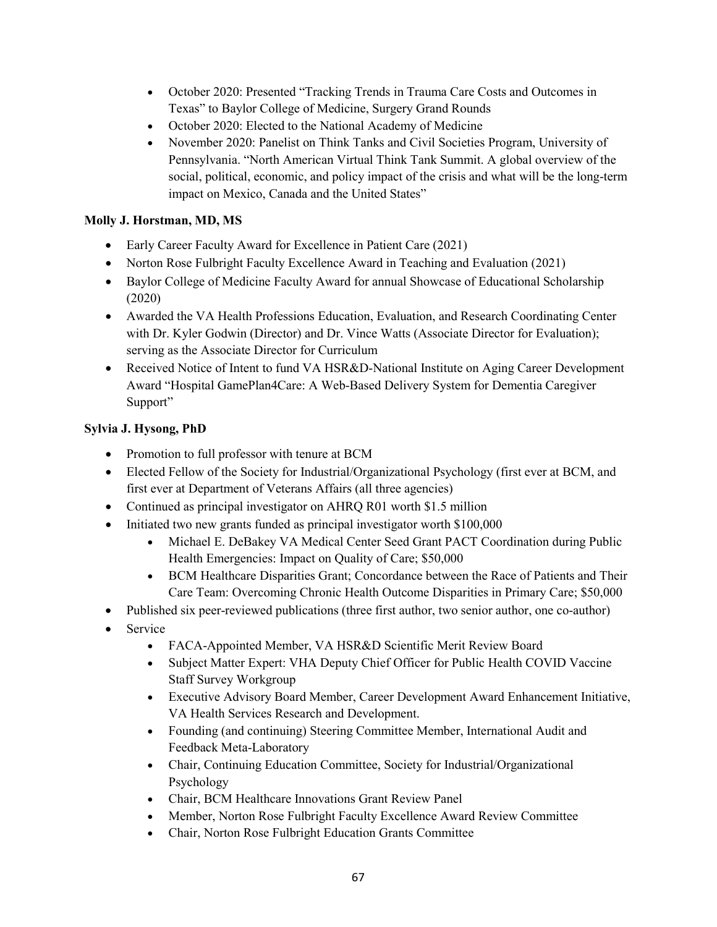- October 2020: Presented "Tracking Trends in Trauma Care Costs and Outcomes in Texas" to Baylor College of Medicine, Surgery Grand Rounds
- October 2020: Elected to the National Academy of Medicine
- November 2020: Panelist on Think Tanks and Civil Societies Program, University of Pennsylvania. "North American Virtual Think Tank Summit. A global overview of the social, political, economic, and policy impact of the crisis and what will be the long-term impact on Mexico, Canada and the United States"

### **Molly J. Horstman, MD, MS**

- Early Career Faculty Award for Excellence in Patient Care (2021)
- Norton Rose Fulbright Faculty Excellence Award in Teaching and Evaluation (2021)
- Baylor College of Medicine Faculty Award for annual Showcase of Educational Scholarship (2020)
- Awarded the VA Health Professions Education, Evaluation, and Research Coordinating Center with Dr. Kyler Godwin (Director) and Dr. Vince Watts (Associate Director for Evaluation); serving as the Associate Director for Curriculum
- Received Notice of Intent to fund VA HSR&D-National Institute on Aging Career Development Award "Hospital GamePlan4Care: A Web-Based Delivery System for Dementia Caregiver Support"

# **Sylvia J. Hysong, PhD**

- Promotion to full professor with tenure at BCM
- Elected Fellow of the Society for Industrial/Organizational Psychology (first ever at BCM, and first ever at Department of Veterans Affairs (all three agencies)
- Continued as principal investigator on AHRQ R01 worth \$1.5 million
- Initiated two new grants funded as principal investigator worth \$100,000
	- Michael E. DeBakey VA Medical Center Seed Grant PACT Coordination during Public Health Emergencies: Impact on Quality of Care; \$50,000
	- BCM Healthcare Disparities Grant; Concordance between the Race of Patients and Their Care Team: Overcoming Chronic Health Outcome Disparities in Primary Care; \$50,000
- Published six peer-reviewed publications (three first author, two senior author, one co-author)
- Service
	- FACA-Appointed Member, VA HSR&D Scientific Merit Review Board
	- Subject Matter Expert: VHA Deputy Chief Officer for Public Health COVID Vaccine Staff Survey Workgroup
	- Executive Advisory Board Member, Career Development Award Enhancement Initiative, VA Health Services Research and Development.
	- Founding (and continuing) Steering Committee Member, International Audit and Feedback Meta-Laboratory
	- Chair, Continuing Education Committee, Society for Industrial/Organizational Psychology
	- Chair, BCM Healthcare Innovations Grant Review Panel
	- Member, Norton Rose Fulbright Faculty Excellence Award Review Committee
	- Chair, Norton Rose Fulbright Education Grants Committee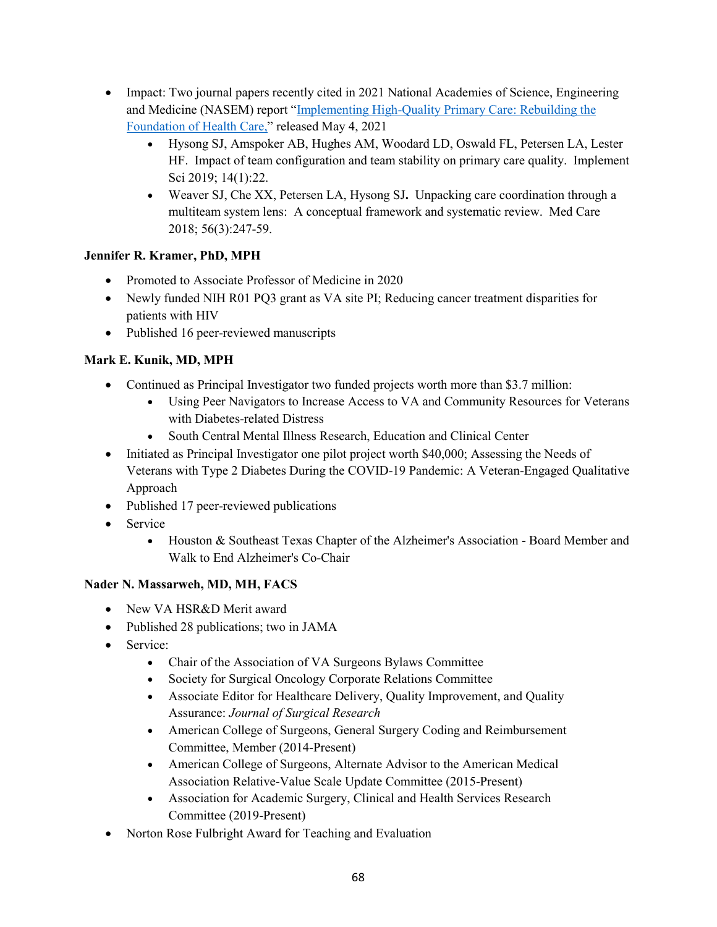- Impact: Two journal papers recently cited in 2021 National Academies of Science, Engineering and Medicine (NASEM) report ["Implementing High-Quality Primary Care: Rebuilding the](https://www.nationalacademies.org/our-work/implementing-high-quality-primary-care) [Foundation of Health Care,](https://www.nationalacademies.org/our-work/implementing-high-quality-primary-care)" released May 4, 2021
	- Hysong SJ, Amspoker AB, Hughes AM, Woodard LD, Oswald FL, Petersen LA, Lester HF. Impact of team configuration and team stability on primary care quality. Implement Sci 2019; 14(1):22.
	- Weaver SJ, Che XX, Petersen LA, Hysong SJ**.** Unpacking care coordination through a multiteam system lens: A conceptual framework and systematic review. Med Care 2018; 56(3):247-59.

# **Jennifer R. Kramer, PhD, MPH**

- Promoted to Associate Professor of Medicine in 2020
- Newly funded NIH R01 PQ3 grant as VA site PI; Reducing cancer treatment disparities for patients with HIV
- Published 16 peer-reviewed manuscripts

# **Mark E. Kunik, MD, MPH**

- Continued as Principal Investigator two funded projects worth more than \$3.7 million:
	- Using Peer Navigators to Increase Access to VA and Community Resources for Veterans with Diabetes-related Distress
	- South Central Mental Illness Research, Education and Clinical Center
- Initiated as Principal Investigator one pilot project worth \$40,000; Assessing the Needs of Veterans with Type 2 Diabetes During the COVID-19 Pandemic: A Veteran-Engaged Qualitative Approach
- Published 17 peer-reviewed publications
- Service
	- Houston & Southeast Texas Chapter of the Alzheimer's Association Board Member and Walk to End Alzheimer's Co-Chair

# **Nader N. Massarweh, MD, MH, FACS**

- New VA HSR&D Merit award
- Published 28 publications; two in JAMA
- Service:
	- Chair of the Association of VA Surgeons Bylaws Committee
	- Society for Surgical Oncology Corporate Relations Committee
	- Associate Editor for Healthcare Delivery, Quality Improvement, and Quality Assurance: *Journal of Surgical Research*
	- American College of Surgeons, General Surgery Coding and Reimbursement Committee, Member (2014-Present)
	- American College of Surgeons, Alternate Advisor to the American Medical Association Relative-Value Scale Update Committee (2015-Present)
	- Association for Academic Surgery, Clinical and Health Services Research Committee (2019-Present)
- Norton Rose Fulbright Award for Teaching and Evaluation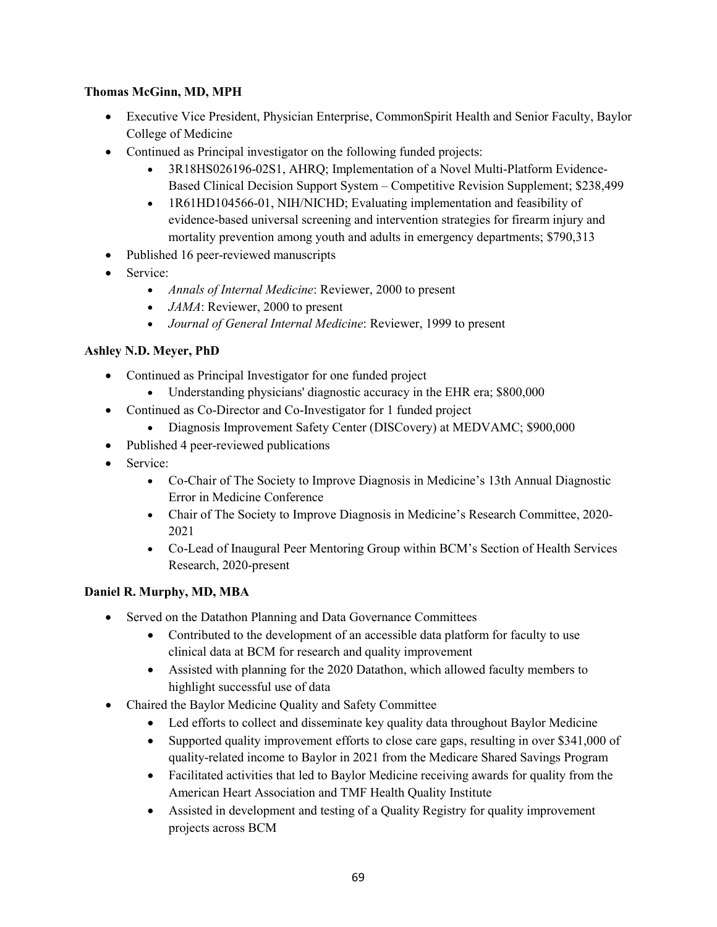### **Thomas McGinn, MD, MPH**

- Executive Vice President, Physician Enterprise, CommonSpirit Health and Senior Faculty, Baylor College of Medicine
- Continued as Principal investigator on the following funded projects:
	- 3R18HS026196-02S1, AHRQ; Implementation of a Novel Multi-Platform Evidence-Based Clinical Decision Support System – Competitive Revision Supplement; \$238,499
	- 1R61HD104566-01, NIH/NICHD; Evaluating implementation and feasibility of evidence-based universal screening and intervention strategies for firearm injury and mortality prevention among youth and adults in emergency departments; \$790,313
- Published 16 peer-reviewed manuscripts
- Service:
	- *Annals of Internal Medicine*: Reviewer, 2000 to present
	- *JAMA*: Reviewer, 2000 to present
	- *Journal of General Internal Medicine*: Reviewer, 1999 to present

#### **Ashley N.D. Meyer, PhD**

- Continued as Principal Investigator for one funded project
	- Understanding physicians' diagnostic accuracy in the EHR era; \$800,000
- Continued as Co-Director and Co-Investigator for 1 funded project
	- Diagnosis Improvement Safety Center (DISCovery) at MEDVAMC; \$900,000
- Published 4 peer-reviewed publications
- Service:
	- Co-Chair of The Society to Improve Diagnosis in Medicine's 13th Annual Diagnostic Error in Medicine Conference
	- Chair of The Society to Improve Diagnosis in Medicine's Research Committee, 2020- 2021
	- Co-Lead of Inaugural Peer Mentoring Group within BCM's Section of Health Services Research, 2020-present

#### **Daniel R. Murphy, MD, MBA**

- Served on the Datathon Planning and Data Governance Committees
	- Contributed to the development of an accessible data platform for faculty to use clinical data at BCM for research and quality improvement
	- Assisted with planning for the 2020 Datathon, which allowed faculty members to highlight successful use of data
- Chaired the Baylor Medicine Quality and Safety Committee
	- Led efforts to collect and disseminate key quality data throughout Baylor Medicine
	- Supported quality improvement efforts to close care gaps, resulting in over \$341,000 of quality-related income to Baylor in 2021 from the Medicare Shared Savings Program
	- Facilitated activities that led to Baylor Medicine receiving awards for quality from the American Heart Association and TMF Health Quality Institute
	- Assisted in development and testing of a Quality Registry for quality improvement projects across BCM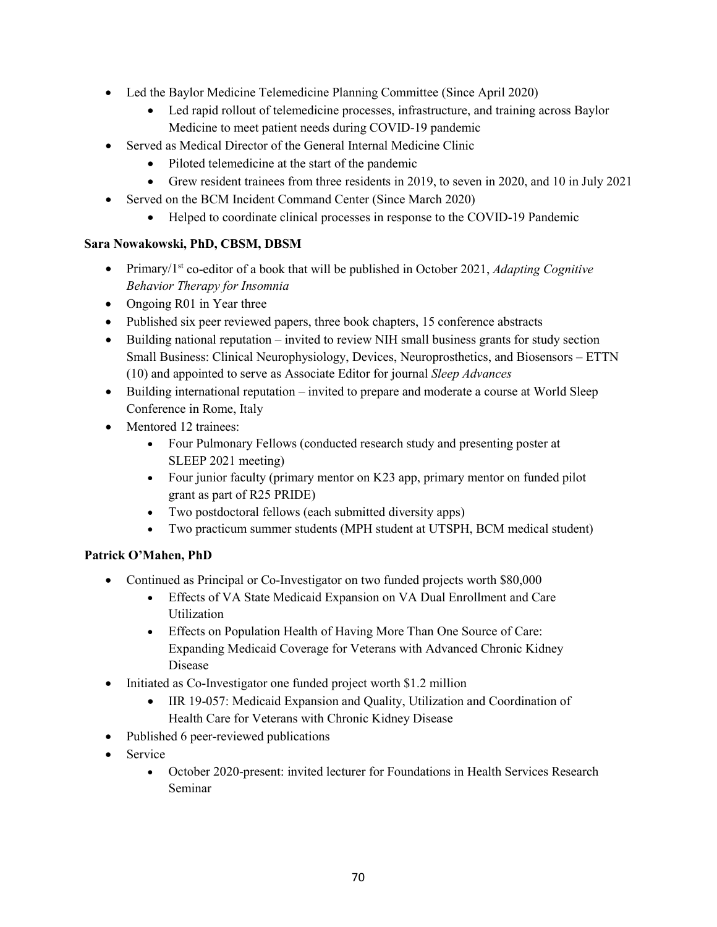- Led the Baylor Medicine Telemedicine Planning Committee (Since April 2020)
	- Led rapid rollout of telemedicine processes, infrastructure, and training across Baylor Medicine to meet patient needs during COVID-19 pandemic
- Served as Medical Director of the General Internal Medicine Clinic
	- Piloted telemedicine at the start of the pandemic
	- Grew resident trainees from three residents in 2019, to seven in 2020, and 10 in July 2021
- Served on the BCM Incident Command Center (Since March 2020)
	- Helped to coordinate clinical processes in response to the COVID-19 Pandemic

# **Sara Nowakowski, PhD, CBSM, DBSM**

- Primary/1<sup>st</sup> co-editor of a book that will be published in October 2021, *Adapting Cognitive Behavior Therapy for Insomnia*
- Ongoing R01 in Year three
- Published six peer reviewed papers, three book chapters, 15 conference abstracts
- Building national reputation invited to review NIH small business grants for study section Small Business: Clinical Neurophysiology, Devices, Neuroprosthetics, and Biosensors – ETTN (10) and appointed to serve as Associate Editor for journal *Sleep Advances*
- Building international reputation invited to prepare and moderate a course at World Sleep Conference in Rome, Italy
- Mentored 12 trainees:
	- Four Pulmonary Fellows (conducted research study and presenting poster at SLEEP 2021 meeting)
	- Four junior faculty (primary mentor on K23 app, primary mentor on funded pilot grant as part of R25 PRIDE)
	- Two postdoctoral fellows (each submitted diversity apps)
	- Two practicum summer students (MPH student at UTSPH, BCM medical student)

# **Patrick O'Mahen, PhD**

- Continued as Principal or Co-Investigator on two funded projects worth \$80,000
	- Effects of VA State Medicaid Expansion on VA Dual Enrollment and Care Utilization
	- Effects on Population Health of Having More Than One Source of Care: Expanding Medicaid Coverage for Veterans with Advanced Chronic Kidney Disease
- Initiated as Co-Investigator one funded project worth \$1.2 million
	- IIR 19-057: Medicaid Expansion and Quality, Utilization and Coordination of Health Care for Veterans with Chronic Kidney Disease
- Published 6 peer-reviewed publications
- Service
	- October 2020-present: invited lecturer for Foundations in Health Services Research Seminar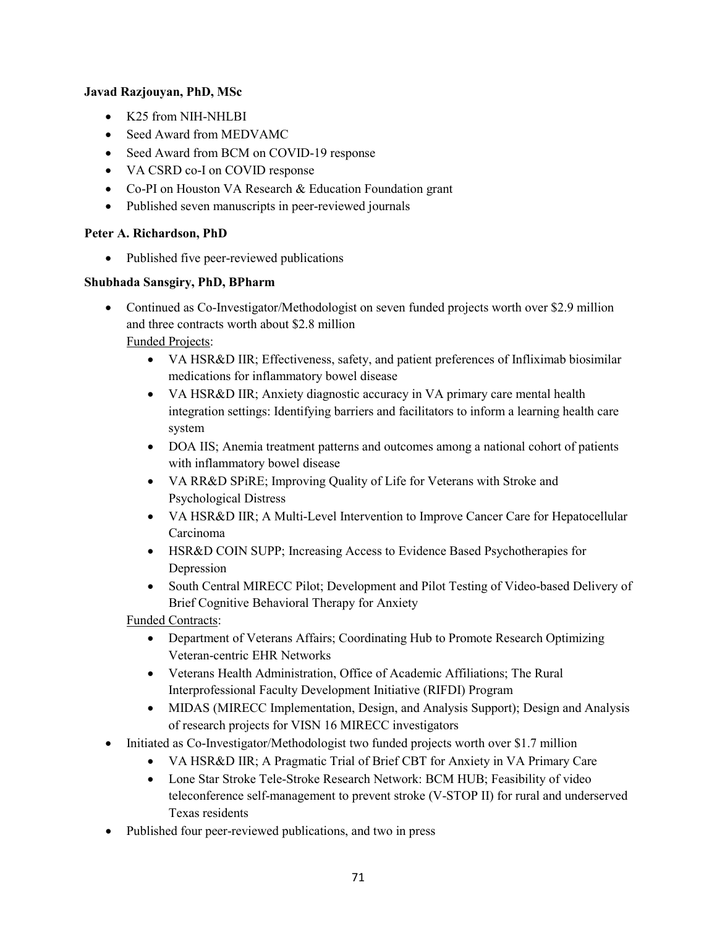#### **Javad Razjouyan, PhD, MSc**

- K25 from NIH-NHLBI
- Seed Award from MEDVAMC
- Seed Award from BCM on COVID-19 response
- VA CSRD co-I on COVID response
- Co-PI on Houston VA Research & Education Foundation grant
- Published seven manuscripts in peer-reviewed journals

#### **Peter A. Richardson, PhD**

• Published five peer-reviewed publications

#### **Shubhada Sansgiry, PhD, BPharm**

• Continued as Co-Investigator/Methodologist on seven funded projects worth over \$2.9 million and three contracts worth about \$2.8 million

# Funded Projects:

- VA HSR&D IIR; Effectiveness, safety, and patient preferences of Infliximab biosimilar medications for inflammatory bowel disease
- VA HSR&D IIR; Anxiety diagnostic accuracy in VA primary care mental health integration settings: Identifying barriers and facilitators to inform a learning health care system
- DOA IIS; Anemia treatment patterns and outcomes among a national cohort of patients with inflammatory bowel disease
- VA RR&D SPiRE; Improving Quality of Life for Veterans with Stroke and Psychological Distress
- VA HSR&D IIR; A Multi-Level Intervention to Improve Cancer Care for Hepatocellular Carcinoma
- HSR&D COIN SUPP; Increasing Access to Evidence Based Psychotherapies for Depression
- South Central MIRECC Pilot; Development and Pilot Testing of Video-based Delivery of Brief Cognitive Behavioral Therapy for Anxiety

Funded Contracts:

- Department of Veterans Affairs; Coordinating Hub to Promote Research Optimizing Veteran-centric EHR Networks
- Veterans Health Administration, Office of Academic Affiliations; The Rural Interprofessional Faculty Development Initiative (RIFDI) Program
- MIDAS (MIRECC Implementation, Design, and Analysis Support); Design and Analysis of research projects for VISN 16 MIRECC investigators
- Initiated as Co-Investigator/Methodologist two funded projects worth over \$1.7 million
	- VA HSR&D IIR; A Pragmatic Trial of Brief CBT for Anxiety in VA Primary Care
	- Lone Star Stroke Tele-Stroke Research Network: BCM HUB; Feasibility of video teleconference self-management to prevent stroke (V-STOP II) for rural and underserved Texas residents
- Published four peer-reviewed publications, and two in press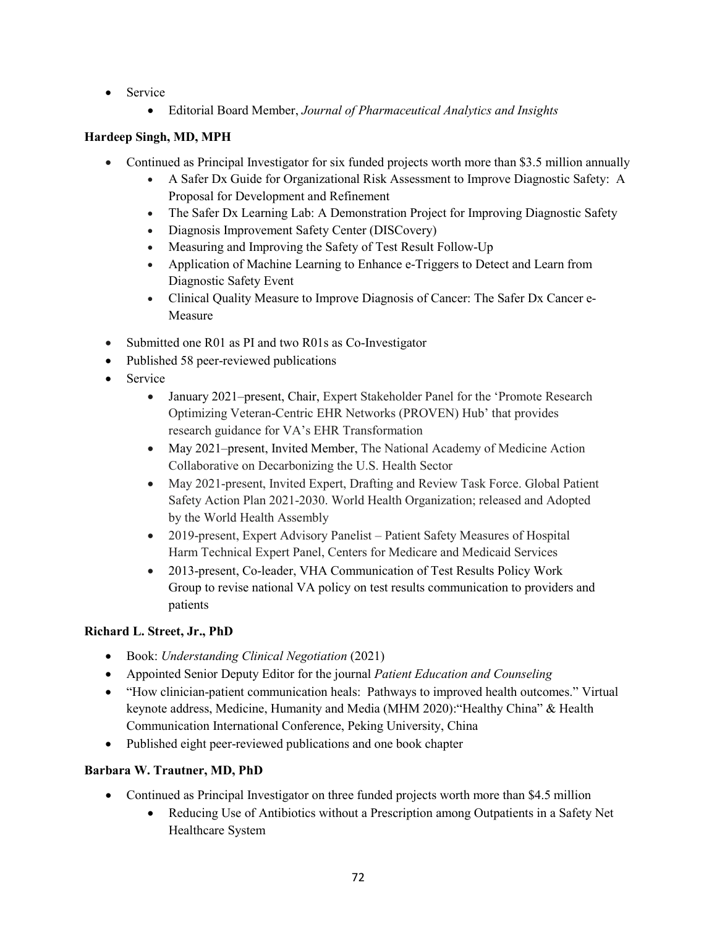- Service
	- Editorial Board Member, *Journal of Pharmaceutical Analytics and Insights*

### **Hardeep Singh, MD, MPH**

- Continued as Principal Investigator for six funded projects worth more than \$3.5 million annually
	- A Safer Dx Guide for Organizational Risk Assessment to Improve Diagnostic Safety: A Proposal for Development and Refinement
	- The Safer Dx Learning Lab: A Demonstration Project for Improving Diagnostic Safety
	- Diagnosis Improvement Safety Center (DISCovery)
	- Measuring and Improving the Safety of Test Result Follow-Up
	- Application of Machine Learning to Enhance e-Triggers to Detect and Learn from Diagnostic Safety Event
	- Clinical Quality Measure to Improve Diagnosis of Cancer: The Safer Dx Cancer e-Measure
- Submitted one R01 as PI and two R01s as Co-Investigator
- Published 58 peer-reviewed publications
- Service
	- January 2021–present, Chair, Expert Stakeholder Panel for the 'Promote Research Optimizing Veteran-Centric EHR Networks (PROVEN) Hub' that provides research guidance for VA's EHR Transformation
	- May 2021–present, Invited Member, The National Academy of Medicine Action Collaborative on Decarbonizing the U.S. Health Sector
	- May 2021-present, Invited Expert, Drafting and Review Task Force. Global Patient Safety Action Plan 2021-2030. World Health Organization; released and Adopted by the World Health Assembly
	- 2019-present, Expert Advisory Panelist Patient Safety Measures of Hospital Harm Technical Expert Panel, Centers for Medicare and Medicaid Services
	- 2013-present, Co-leader, VHA Communication of Test Results Policy Work Group to revise national VA policy on test results communication to providers and patients

# **Richard L. Street, Jr., PhD**

- Book: *Understanding Clinical Negotiation* (2021)
- Appointed Senior Deputy Editor for the journal *Patient Education and Counseling*
- "How clinician-patient communication heals: Pathways to improved health outcomes." Virtual keynote address, Medicine, Humanity and Media (MHM 2020):"Healthy China" & Health Communication International Conference, Peking University, China
- Published eight peer-reviewed publications and one book chapter

#### **Barbara W. Trautner, MD, PhD**

- Continued as Principal Investigator on three funded projects worth more than \$4.5 million
	- Reducing Use of Antibiotics without a Prescription among Outpatients in a Safety Net Healthcare System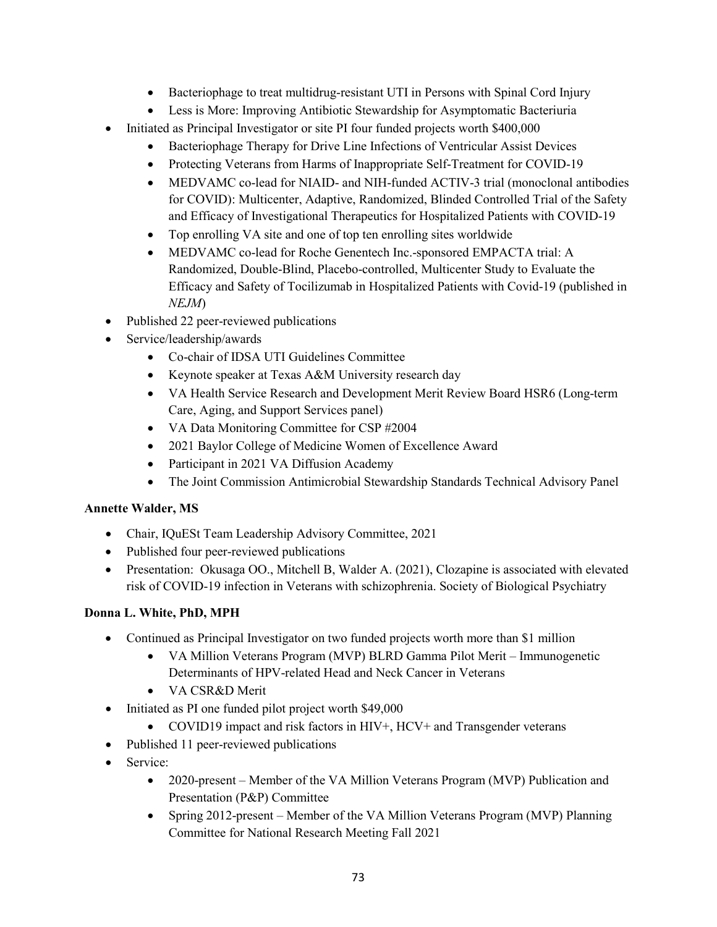- Bacteriophage to treat multidrug-resistant UTI in Persons with Spinal Cord Injury
- Less is More: Improving Antibiotic Stewardship for Asymptomatic Bacteriuria
- Initiated as Principal Investigator or site PI four funded projects worth \$400,000
	- Bacteriophage Therapy for Drive Line Infections of Ventricular Assist Devices
	- Protecting Veterans from Harms of Inappropriate Self-Treatment for COVID-19
	- MEDVAMC co-lead for NIAID- and NIH-funded ACTIV-3 trial (monoclonal antibodies for COVID): Multicenter, Adaptive, Randomized, Blinded Controlled Trial of the Safety and Efficacy of Investigational Therapeutics for Hospitalized Patients with COVID-19
	- Top enrolling VA site and one of top ten enrolling sites worldwide
	- MEDVAMC co-lead for Roche Genentech Inc.-sponsored EMPACTA trial: A Randomized, Double-Blind, Placebo-controlled, Multicenter Study to Evaluate the Efficacy and Safety of Tocilizumab in Hospitalized Patients with Covid-19 (published in *NEJM*)
- Published 22 peer-reviewed publications
- Service/leadership/awards
	- Co-chair of IDSA UTI Guidelines Committee
	- Keynote speaker at Texas A&M University research day
	- VA Health Service Research and Development Merit Review Board HSR6 (Long-term Care, Aging, and Support Services panel)
	- VA Data Monitoring Committee for CSP #2004
	- 2021 Baylor College of Medicine Women of Excellence Award
	- Participant in 2021 VA Diffusion Academy
	- The Joint Commission Antimicrobial Stewardship Standards Technical Advisory Panel

# **Annette Walder, MS**

- Chair, IQuESt Team Leadership Advisory Committee, 2021
- Published four peer-reviewed publications
- Presentation: Okusaga OO., Mitchell B, Walder A. (2021), Clozapine is associated with elevated risk of COVID-19 infection in Veterans with schizophrenia. Society of Biological Psychiatry

# **Donna L. White, PhD, MPH**

- Continued as Principal Investigator on two funded projects worth more than \$1 million
	- VA Million Veterans Program (MVP) BLRD Gamma Pilot Merit Immunogenetic Determinants of HPV-related Head and Neck Cancer in Veterans
	- VA CSR&D Merit
- Initiated as PI one funded pilot project worth \$49,000
	- COVID19 impact and risk factors in HIV+, HCV+ and Transgender veterans
- Published 11 peer-reviewed publications
- Service:
	- 2020-present Member of the VA Million Veterans Program (MVP) Publication and Presentation (P&P) Committee
	- Spring 2012-present Member of the VA Million Veterans Program (MVP) Planning Committee for National Research Meeting Fall 2021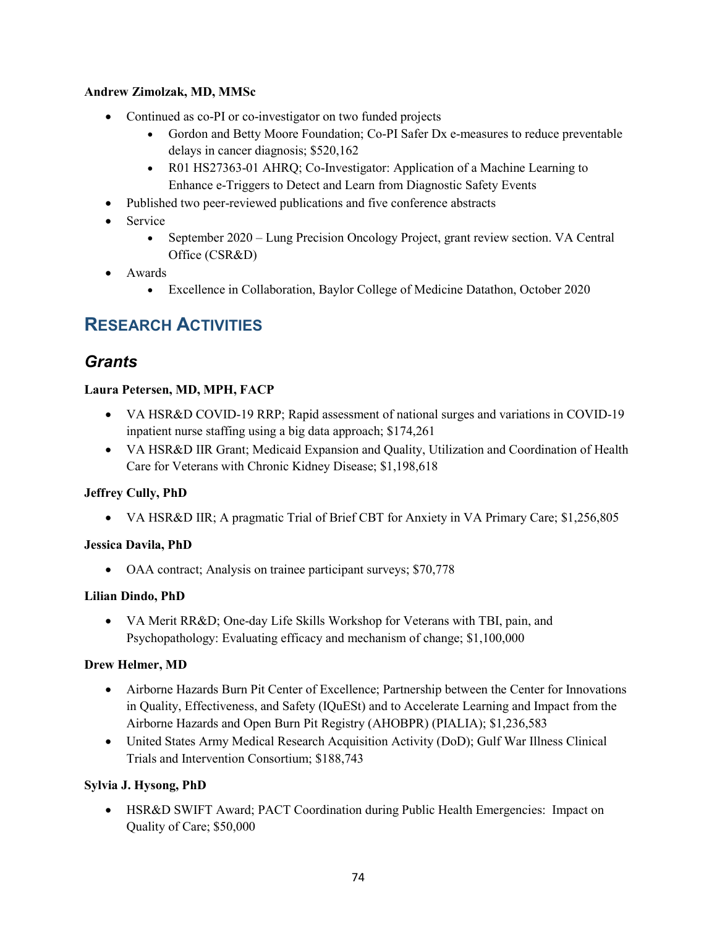#### **Andrew Zimolzak, MD, MMSc**

- Continued as co-PI or co-investigator on two funded projects
	- Gordon and Betty Moore Foundation; Co-PI Safer Dx e-measures to reduce preventable delays in cancer diagnosis; \$520,162
	- R01 HS27363-01 AHRQ; Co-Investigator: Application of a Machine Learning to Enhance e-Triggers to Detect and Learn from Diagnostic Safety Events
- Published two peer-reviewed publications and five conference abstracts
- Service
	- September 2020 Lung Precision Oncology Project, grant review section. VA Central Office (CSR&D)
- Awards
	- Excellence in Collaboration, Baylor College of Medicine Datathon, October 2020

# **RESEARCH ACTIVITIES**

# *Grants*

### **Laura Petersen, MD, MPH, FACP**

- VA HSR&D COVID-19 RRP; Rapid assessment of national surges and variations in COVID-19 inpatient nurse staffing using a big data approach; \$174,261
- VA HSR&D IIR Grant; Medicaid Expansion and Quality, Utilization and Coordination of Health Care for Veterans with Chronic Kidney Disease; \$1,198,618

#### **Jeffrey Cully, PhD**

• VA HSR&D IIR; A pragmatic Trial of Brief CBT for Anxiety in VA Primary Care; \$1,256,805

#### **Jessica Davila, PhD**

• OAA contract; Analysis on trainee participant surveys; \$70,778

#### **Lilian Dindo, PhD**

• VA Merit RR&D; One-day Life Skills Workshop for Veterans with TBI, pain, and Psychopathology: Evaluating efficacy and mechanism of change; \$1,100,000

#### **Drew Helmer, MD**

- Airborne Hazards Burn Pit Center of Excellence; Partnership between the Center for Innovations in Quality, Effectiveness, and Safety (IQuESt) and to Accelerate Learning and Impact from the Airborne Hazards and Open Burn Pit Registry (AHOBPR) (PIALIA); \$1,236,583
- United States Army Medical Research Acquisition Activity (DoD); Gulf War Illness Clinical Trials and Intervention Consortium; \$188,743

#### **Sylvia J. Hysong, PhD**

• HSR&D SWIFT Award; PACT Coordination during Public Health Emergencies: Impact on Quality of Care; \$50,000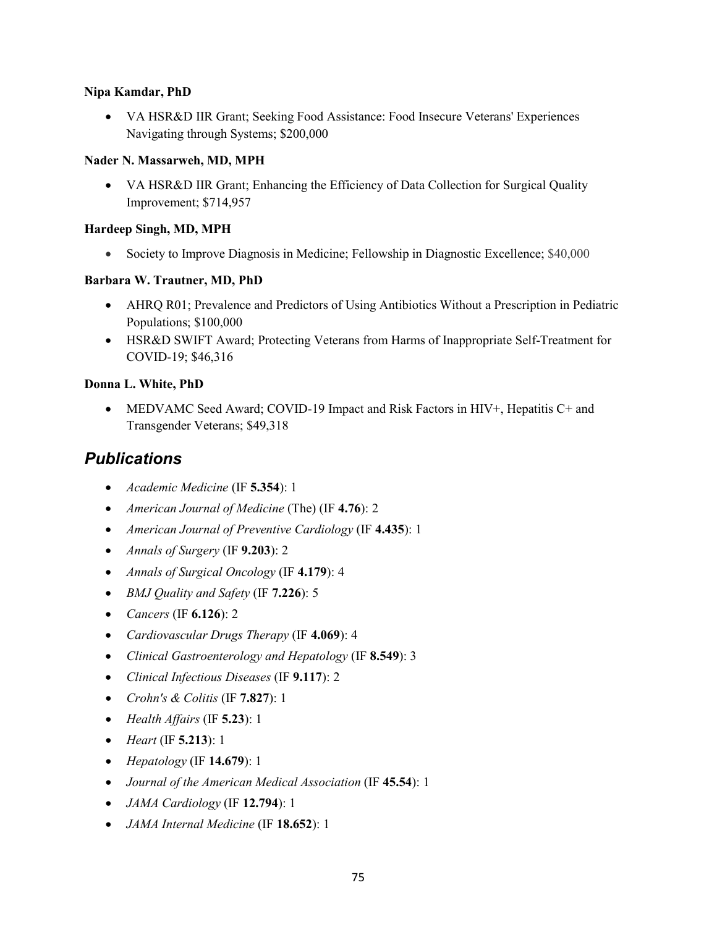#### **Nipa Kamdar, PhD**

• VA HSR&D IIR Grant; Seeking Food Assistance: Food Insecure Veterans' Experiences Navigating through Systems; \$200,000

#### **Nader N. Massarweh, MD, MPH**

• VA HSR&D IIR Grant; Enhancing the Efficiency of Data Collection for Surgical Quality Improvement; \$714,957

#### **Hardeep Singh, MD, MPH**

• Society to Improve Diagnosis in Medicine; Fellowship in Diagnostic Excellence; \$40,000

#### **Barbara W. Trautner, MD, PhD**

- AHRQ R01; Prevalence and Predictors of Using Antibiotics Without a Prescription in Pediatric Populations; \$100,000
- HSR&D SWIFT Award; Protecting Veterans from Harms of Inappropriate Self-Treatment for COVID-19; \$46,316

#### **Donna L. White, PhD**

• MEDVAMC Seed Award; COVID-19 Impact and Risk Factors in HIV+, Hepatitis C+ and Transgender Veterans; \$49,318

# *Publications*

- *Academic Medicine* (IF **5.354**): 1
- *American Journal of Medicine* (The) (IF **4.76**): 2
- *American Journal of Preventive Cardiology* (IF **4.435**): 1
- *Annals of Surgery* (IF **9.203**): 2
- *Annals of Surgical Oncology* (IF **4.179**): 4
- *BMJ Quality and Safety* (IF **7.226**): 5
- *Cancers* (IF **6.126**): 2
- *Cardiovascular Drugs Therapy* (IF **4.069**): 4
- *Clinical Gastroenterology and Hepatology* (IF **8.549**): 3
- *Clinical Infectious Diseases* (IF **9.117**): 2
- *Crohn's & Colitis* (IF **7.827**): 1
- *Health Affairs* (IF **5.23**): 1
- *Heart* (IF **5.213**): 1
- *Hepatology* (IF **14.679**): 1
- *Journal of the American Medical Association* (IF **45.54**): 1
- *JAMA Cardiology* (IF **12.794**): 1
- *JAMA Internal Medicine* (IF **18.652**): 1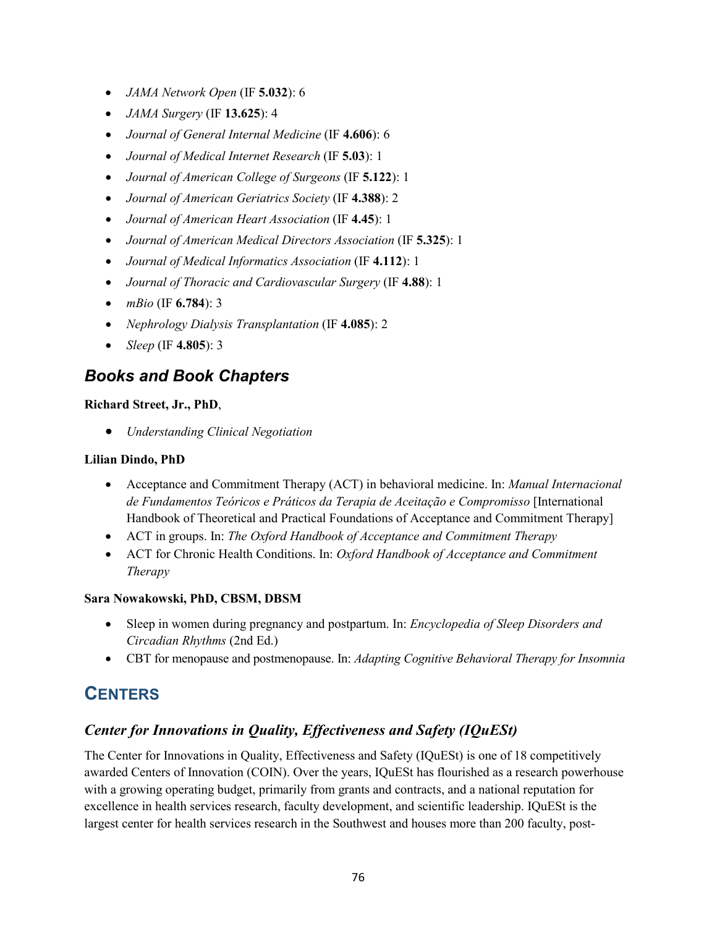- *JAMA Network Open* (IF **5.032**): 6
- *JAMA Surgery* (IF **13.625**): 4
- *Journal of General Internal Medicine* (IF **4.606**): 6
- *Journal of Medical Internet Research* (IF **5.03**): 1
- *Journal of American College of Surgeons* (IF **5.122**): 1
- *Journal of American Geriatrics Society* (IF **4.388**): 2
- *Journal of American Heart Association* (IF **4.45**): 1
- *Journal of American Medical Directors Association* (IF **5.325**): 1
- *Journal of Medical Informatics Association* (IF **4.112**): 1
- *Journal of Thoracic and Cardiovascular Surgery* (IF **4.88**): 1
- *mBio* (IF **6.784**): 3
- *Nephrology Dialysis Transplantation* (IF **4.085**): 2
- *Sleep* (IF **4.805**): 3

# *Books and Book Chapters*

#### **Richard Street, Jr., PhD**,

• *Understanding Clinical Negotiation*

#### **Lilian Dindo, PhD**

- Acceptance and Commitment Therapy (ACT) in behavioral medicine. In: *Manual Internacional de Fundamentos Teóricos e Práticos da Terapia de Aceitação e Compromisso* [International Handbook of Theoretical and Practical Foundations of Acceptance and Commitment Therapy]
- ACT in groups. In: *The Oxford Handbook of Acceptance and Commitment Therapy*
- ACT for Chronic Health Conditions. In: *Oxford Handbook of Acceptance and Commitment Therapy*

#### **Sara Nowakowski, PhD, CBSM, DBSM**

- Sleep in women during pregnancy and postpartum. In: *Encyclopedia of Sleep Disorders and Circadian Rhythms* (2nd Ed.)
- CBT for menopause and postmenopause. In: *Adapting Cognitive Behavioral Therapy for Insomnia*

# **CENTERS**

# *Center for Innovations in Quality, Effectiveness and Safety (IQuESt)*

The Center for Innovations in Quality, Effectiveness and Safety (IQuESt) is one of 18 competitively awarded Centers of Innovation (COIN). Over the years, IQuESt has flourished as a research powerhouse with a growing operating budget, primarily from grants and contracts, and a national reputation for excellence in health services research, faculty development, and scientific leadership. IQuESt is the largest center for health services research in the Southwest and houses more than 200 faculty, post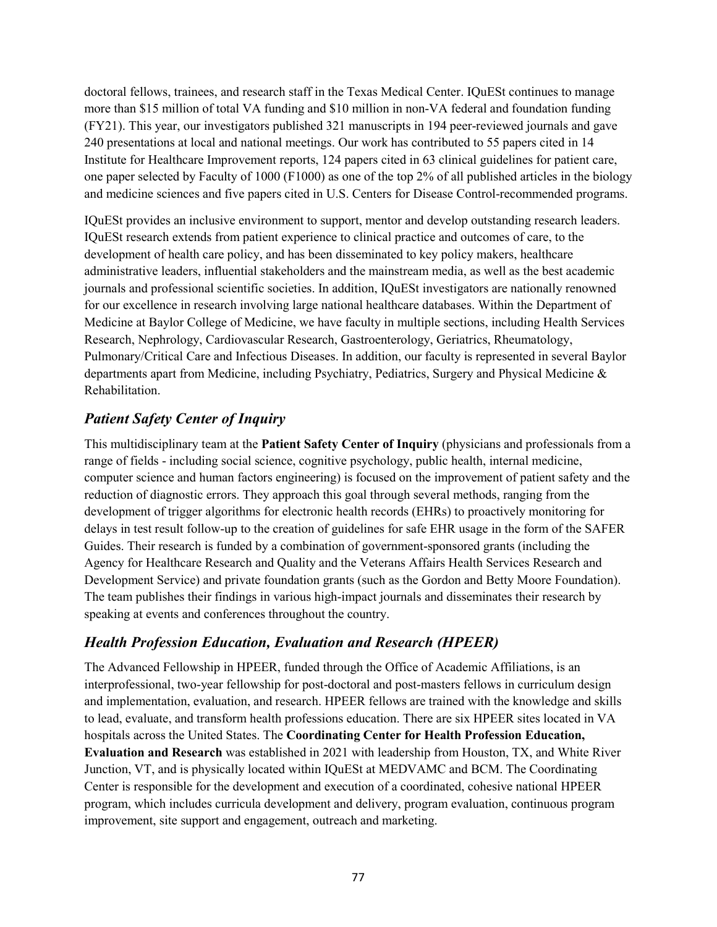doctoral fellows, trainees, and research staff in the Texas Medical Center. IQuESt continues to manage more than \$15 million of total VA funding and \$10 million in non-VA federal and foundation funding (FY21). This year, our investigators published 321 manuscripts in 194 peer-reviewed journals and gave 240 presentations at local and national meetings. Our work has contributed to 55 papers cited in 14 Institute for Healthcare Improvement reports, 124 papers cited in 63 clinical guidelines for patient care, one paper selected by Faculty of 1000 (F1000) as one of the top 2% of all published articles in the biology and medicine sciences and five papers cited in U.S. Centers for Disease Control-recommended programs.

IQuESt provides an inclusive environment to support, mentor and develop outstanding research leaders. IQuESt research extends from patient experience to clinical practice and outcomes of care, to the development of health care policy, and has been disseminated to key policy makers, healthcare administrative leaders, influential stakeholders and the mainstream media, as well as the best academic journals and professional scientific societies. In addition, IQuESt investigators are nationally renowned for our excellence in research involving large national healthcare databases. Within the Department of Medicine at Baylor College of Medicine, we have faculty in multiple sections, including Health Services Research, Nephrology, Cardiovascular Research, Gastroenterology, Geriatrics, Rheumatology, Pulmonary/Critical Care and Infectious Diseases. In addition, our faculty is represented in several Baylor departments apart from Medicine, including Psychiatry, Pediatrics, Surgery and Physical Medicine & Rehabilitation.

# *Patient Safety Center of Inquiry*

This multidisciplinary team at the **Patient Safety Center of Inquiry** (physicians and professionals from a range of fields - including social science, cognitive psychology, public health, internal medicine, computer science and human factors engineering) is focused on the improvement of patient safety and the reduction of diagnostic errors. They approach this goal through several methods, ranging from the development of trigger algorithms for electronic health records (EHRs) to proactively monitoring for delays in test result follow-up to the creation of guidelines for safe EHR usage in the form of the SAFER Guides. Their research is funded by a combination of government-sponsored grants (including the Agency for Healthcare Research and Quality and the Veterans Affairs Health Services Research and Development Service) and private foundation grants (such as the Gordon and Betty Moore Foundation). The team publishes their findings in various high-impact journals and disseminates their research by speaking at events and conferences throughout the country.

# *Health Profession Education, Evaluation and Research (HPEER)*

The Advanced Fellowship in HPEER, funded through the Office of Academic Affiliations, is an interprofessional, two-year fellowship for post-doctoral and post-masters fellows in curriculum design and implementation, evaluation, and research. HPEER fellows are trained with the knowledge and skills to lead, evaluate, and transform health professions education. There are six HPEER sites located in VA hospitals across the United States. The **Coordinating Center for Health Profession Education, Evaluation and Research** was established in 2021 with leadership from Houston, TX, and White River Junction, VT, and is physically located within IQuESt at MEDVAMC and BCM. The Coordinating Center is responsible for the development and execution of a coordinated, cohesive national HPEER program, which includes curricula development and delivery, program evaluation, continuous program improvement, site support and engagement, outreach and marketing.